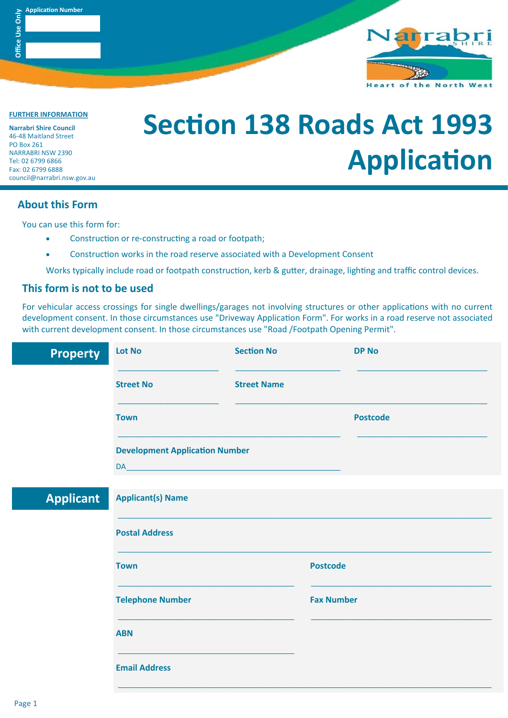



**FURTHER INFORMATION**

**Narrabri Shire Council** 46-48 Maitland Street PO Box 261 NARRABRI NSW 2390 Tel: 02 6799 6866 Fax: 02 6799 6888 council@narrabri.nsw.gov.au

# **Section 138 Roads Act 1993 Application**

### **About this Form**

You can use this form for:

- Construction or re-constructing a road or footpath;
- Construction works in the road reserve associated with a Development Consent

Works typically include road or footpath construction, kerb & gutter, drainage, lighting and traffic control devices.

#### **This form is not to be used**

For vehicular access crossings for single dwellings/garages not involving structures or other applications with no current development consent. In those circumstances use "Driveway Application Form". For works in a road reserve not associated with current development consent. In those circumstances use "Road /Footpath Opening Permit".

| <b>Property</b>  | <b>Lot No</b>                                                                                                   | <b>Section No</b>  | <b>DP No</b>      |
|------------------|-----------------------------------------------------------------------------------------------------------------|--------------------|-------------------|
|                  | <b>Street No</b>                                                                                                | <b>Street Name</b> |                   |
|                  | <b>Town</b>                                                                                                     |                    | <b>Postcode</b>   |
|                  | <b>Development Application Number</b>                                                                           |                    |                   |
|                  | DA ANGLES ANGLES ANGLES ANGLES ANGLES ANGLES ANGLES ANGLES ANGLES ANGLES ANGLES ANGLES ANGLES ANGLES ANGLES ANG |                    |                   |
| <b>Applicant</b> | <b>Applicant(s) Name</b>                                                                                        |                    |                   |
|                  | <b>Postal Address</b>                                                                                           |                    |                   |
|                  | <b>Town</b>                                                                                                     |                    | <b>Postcode</b>   |
|                  | <b>Telephone Number</b>                                                                                         |                    | <b>Fax Number</b> |
|                  | <b>ABN</b>                                                                                                      |                    |                   |
|                  | <b>Email Address</b>                                                                                            |                    |                   |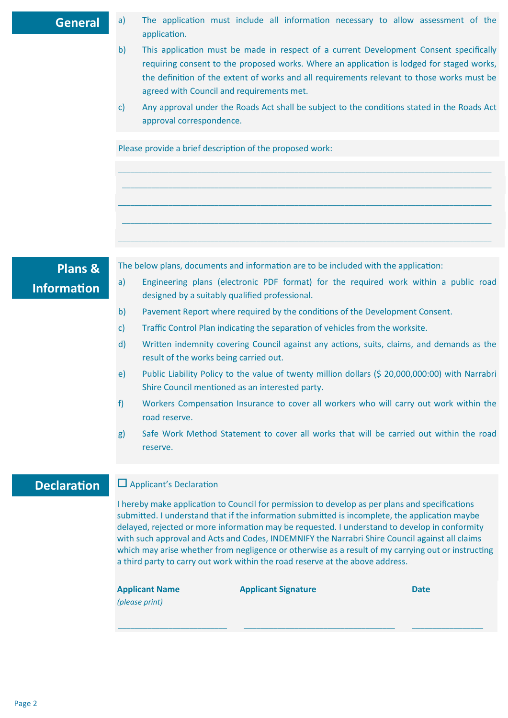#### **General**

- a) The application must include all information necessary to allow assessment of the application.
- b) This application must be made in respect of a current Development Consent specifically requiring consent to the proposed works. Where an application is lodged for staged works, the definition of the extent of works and all requirements relevant to those works must be agreed with Council and requirements met.
- c) Any approval under the Roads Act shall be subject to the conditions stated in the Roads Act approval correspondence.

 $\_$  , and the set of the set of the set of the set of the set of the set of the set of the set of the set of the set of the set of the set of the set of the set of the set of the set of the set of the set of the set of th \_\_\_\_\_\_\_\_\_\_\_\_\_\_\_\_\_\_\_\_\_\_\_\_\_\_\_\_\_\_\_\_\_\_\_\_\_\_\_\_\_\_\_\_\_\_\_\_\_\_\_\_\_\_\_\_\_\_\_\_\_\_\_\_\_\_\_\_\_\_\_\_\_\_\_\_\_\_\_\_\_\_\_\_\_\_\_\_

\_\_\_\_\_\_\_\_\_\_\_\_\_\_\_\_\_\_\_\_\_\_\_\_\_\_\_\_\_\_\_\_\_\_\_\_\_\_\_\_\_\_\_\_\_\_\_\_\_\_\_\_\_\_\_\_\_\_\_\_\_\_\_\_\_\_\_\_\_\_\_\_\_\_\_\_\_\_\_\_\_\_\_\_\_\_\_\_\_

\_\_\_\_\_\_\_\_\_\_\_\_\_\_\_\_\_\_\_\_\_\_\_\_\_\_\_\_\_\_\_\_\_\_\_\_\_\_\_\_\_\_\_\_\_\_\_\_\_\_\_\_\_\_\_\_\_\_\_\_\_\_\_\_\_\_\_\_\_\_\_\_\_\_\_\_\_\_\_\_\_\_\_\_\_\_\_\_

\_\_\_\_\_\_\_\_\_\_\_\_\_\_\_\_\_\_\_\_\_\_\_\_\_\_\_\_\_\_\_\_\_\_\_\_\_\_\_\_\_\_\_\_\_\_\_\_\_\_\_\_\_\_\_\_\_\_\_\_\_\_\_\_\_\_\_\_\_\_\_\_\_\_\_\_\_\_\_\_\_\_\_\_\_\_\_\_\_

Please provide a brief description of the proposed work:

# **Plans & Information**

The below plans, documents and information are to be included with the application:

- a) Engineering plans (electronic PDF format) for the required work within a public road designed by a suitably qualified professional.
- b) Pavement Report where required by the conditions of the Development Consent.
- c) Traffic Control Plan indicating the separation of vehicles from the worksite.
- d) Written indemnity covering Council against any actions, suits, claims, and demands as the result of the works being carried out.
- e) Public Liability Policy to the value of twenty million dollars (\$ 20,000,000:00) with Narrabri Shire Council mentioned as an interested party.
- f) Workers Compensation Insurance to cover all workers who will carry out work within the road reserve.
- g) Safe Work Method Statement to cover all works that will be carried out within the road reserve.

## **Declaration**

#### Applicant's Declaration

I hereby make application to Council for permission to develop as per plans and specifications submitted. I understand that if the information submitted is incomplete, the application maybe delayed, rejected or more information may be requested. I understand to develop in conformity with such approval and Acts and Codes, INDEMNIFY the Narrabri Shire Council against all claims which may arise whether from negligence or otherwise as a result of my carrying out or instructing a third party to carry out work within the road reserve at the above address.

\_\_\_\_\_\_\_\_\_\_\_\_\_\_\_\_\_\_\_\_\_\_\_\_\_\_ \_\_\_\_\_\_\_\_\_\_\_\_\_\_\_\_\_\_\_\_\_\_\_\_\_\_\_\_\_\_\_\_\_\_\_\_ \_\_\_\_\_\_\_\_\_\_\_\_\_\_\_\_\_

**Applicant Name** 

**Applicant Signature Date**

*(please print)*